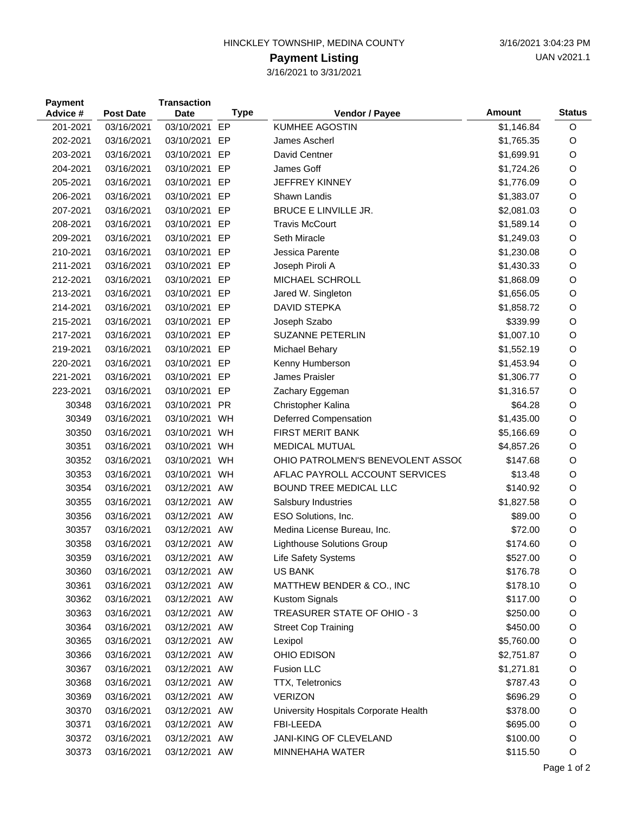## HINCKLEY TOWNSHIP, MEDINA COUNTY 3/16/2021 3:04:23 PM

## **Payment Listing**

3/16/2021 to 3/31/2021

| <b>Payment</b><br>Advice # | <b>Post Date</b> | <b>Transaction</b><br><b>Date</b> | <b>Type</b> | Vendor / Payee                        | <b>Amount</b> | <b>Status</b> |
|----------------------------|------------------|-----------------------------------|-------------|---------------------------------------|---------------|---------------|
| 201-2021                   | 03/16/2021       | 03/10/2021                        | EP          | <b>KUMHEE AGOSTIN</b>                 | \$1,146.84    | O             |
| 202-2021                   | 03/16/2021       | 03/10/2021                        | EP          | James Ascherl                         | \$1,765.35    | O             |
| 203-2021                   | 03/16/2021       | 03/10/2021                        | EP          | David Centner                         | \$1,699.91    | O             |
| 204-2021                   | 03/16/2021       | 03/10/2021                        | EP          | James Goff                            | \$1,724.26    | O             |
| 205-2021                   | 03/16/2021       | 03/10/2021                        | EP          | <b>JEFFREY KINNEY</b>                 | \$1,776.09    | O             |
| 206-2021                   | 03/16/2021       | 03/10/2021                        | EP          | Shawn Landis                          | \$1,383.07    | O             |
| 207-2021                   | 03/16/2021       | 03/10/2021                        | EP          | BRUCE E LINVILLE JR.                  | \$2,081.03    | O             |
| 208-2021                   | 03/16/2021       | 03/10/2021                        | EP          | <b>Travis McCourt</b>                 | \$1,589.14    | O             |
| 209-2021                   | 03/16/2021       | 03/10/2021                        | EP          | Seth Miracle                          | \$1,249.03    | O             |
| 210-2021                   | 03/16/2021       | 03/10/2021                        | EP          | Jessica Parente                       | \$1,230.08    | O             |
| 211-2021                   | 03/16/2021       | 03/10/2021                        | EP          | Joseph Piroli A                       | \$1,430.33    | O             |
| 212-2021                   | 03/16/2021       | 03/10/2021                        | EP          | MICHAEL SCHROLL                       | \$1,868.09    | O             |
| 213-2021                   | 03/16/2021       | 03/10/2021                        | EP          | Jared W. Singleton                    | \$1,656.05    | O             |
| 214-2021                   | 03/16/2021       | 03/10/2021                        | EP          | <b>DAVID STEPKA</b>                   | \$1,858.72    | O             |
| 215-2021                   | 03/16/2021       | 03/10/2021                        | EP          | Joseph Szabo                          | \$339.99      | O             |
| 217-2021                   | 03/16/2021       | 03/10/2021                        | EP          | <b>SUZANNE PETERLIN</b>               | \$1,007.10    | O             |
| 219-2021                   | 03/16/2021       | 03/10/2021                        | EP          | Michael Behary                        | \$1,552.19    | O             |
| 220-2021                   | 03/16/2021       | 03/10/2021                        | EP          | Kenny Humberson                       | \$1,453.94    | O             |
| 221-2021                   | 03/16/2021       | 03/10/2021                        | EP          | James Praisler                        | \$1,306.77    | O             |
| 223-2021                   | 03/16/2021       | 03/10/2021 EP                     |             | Zachary Eggeman                       | \$1,316.57    | O             |
| 30348                      | 03/16/2021       | 03/10/2021                        | <b>PR</b>   | Christopher Kalina                    | \$64.28       | O             |
| 30349                      | 03/16/2021       | 03/10/2021                        | WH          | Deferred Compensation                 | \$1,435.00    | O             |
| 30350                      | 03/16/2021       | 03/10/2021                        | WH          | <b>FIRST MERIT BANK</b>               | \$5,166.69    | O             |
| 30351                      | 03/16/2021       | 03/10/2021                        | WH          | <b>MEDICAL MUTUAL</b>                 | \$4,857.26    | O             |
| 30352                      | 03/16/2021       | 03/10/2021                        | WH          | OHIO PATROLMEN'S BENEVOLENT ASSO(     | \$147.68      | O             |
| 30353                      | 03/16/2021       | 03/10/2021                        | WH          | AFLAC PAYROLL ACCOUNT SERVICES        | \$13.48       | O             |
| 30354                      | 03/16/2021       | 03/12/2021                        | AW          | <b>BOUND TREE MEDICAL LLC</b>         | \$140.92      | O             |
| 30355                      | 03/16/2021       | 03/12/2021                        | AW          | Salsbury Industries                   | \$1,827.58    | O             |
| 30356                      | 03/16/2021       | 03/12/2021                        | AW          | ESO Solutions, Inc.                   | \$89.00       | O             |
| 30357                      | 03/16/2021       | 03/12/2021                        | AW          | Medina License Bureau, Inc.           | \$72.00       | O             |
| 30358                      | 03/16/2021       | 03/12/2021 AW                     |             | <b>Lighthouse Solutions Group</b>     | \$174.60      | O             |
| 30359                      | 03/16/2021       | 03/12/2021 AW                     |             | Life Safety Systems                   | \$527.00      | O             |
| 30360                      | 03/16/2021       | 03/12/2021 AW                     |             | <b>US BANK</b>                        | \$176.78      | O             |
| 30361                      | 03/16/2021       | 03/12/2021 AW                     |             | MATTHEW BENDER & CO., INC             | \$178.10      | O             |
| 30362                      | 03/16/2021       | 03/12/2021 AW                     |             | Kustom Signals                        | \$117.00      | O             |
| 30363                      | 03/16/2021       | 03/12/2021 AW                     |             | TREASURER STATE OF OHIO - 3           | \$250.00      | O             |
| 30364                      | 03/16/2021       | 03/12/2021 AW                     |             | <b>Street Cop Training</b>            | \$450.00      | O             |
| 30365                      | 03/16/2021       | 03/12/2021 AW                     |             | Lexipol                               | \$5,760.00    | O             |
| 30366                      | 03/16/2021       | 03/12/2021 AW                     |             | OHIO EDISON                           | \$2,751.87    | O             |
| 30367                      | 03/16/2021       | 03/12/2021 AW                     |             | <b>Fusion LLC</b>                     | \$1,271.81    | O             |
| 30368                      | 03/16/2021       | 03/12/2021 AW                     |             | <b>TTX, Teletronics</b>               | \$787.43      | O             |
| 30369                      | 03/16/2021       | 03/12/2021 AW                     |             | <b>VERIZON</b>                        | \$696.29      | O             |
| 30370                      | 03/16/2021       | 03/12/2021 AW                     |             | University Hospitals Corporate Health | \$378.00      | O             |
| 30371                      | 03/16/2021       | 03/12/2021 AW                     |             | FBI-LEEDA                             | \$695.00      | O             |
| 30372                      | 03/16/2021       | 03/12/2021 AW                     |             | JANI-KING OF CLEVELAND                | \$100.00      | $\circ$       |
| 30373                      | 03/16/2021       | 03/12/2021 AW                     |             | MINNEHAHA WATER                       | \$115.50      | O             |